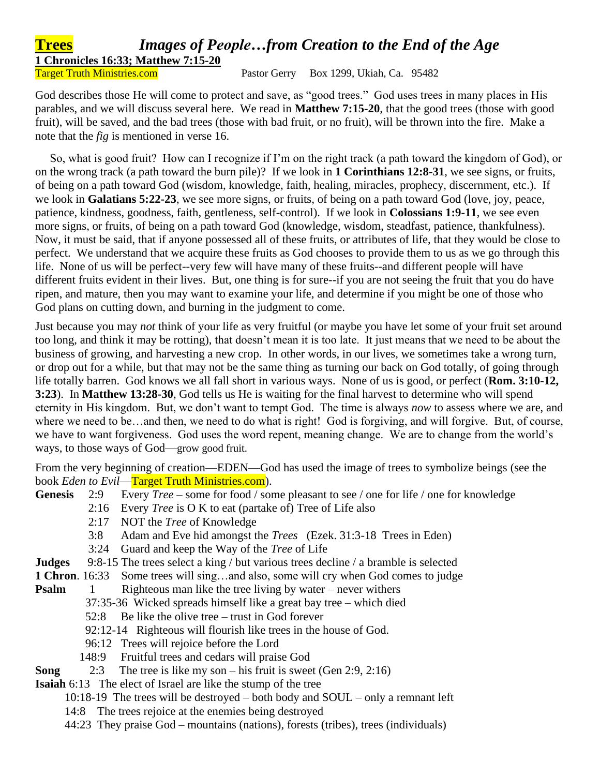## **Trees** *Images of People…from Creation to the End of the Age* **1 Chronicles 16:33; Matthew 7:15-20**

Target Truth Ministries.com Pastor Gerry Box 1299, Ukiah, Ca. 95482

God describes those He will come to protect and save, as "good trees." God uses trees in many places in His parables, and we will discuss several here. We read in **Matthew 7:15-20**, that the good trees (those with good fruit), will be saved, and the bad trees (those with bad fruit, or no fruit), will be thrown into the fire. Make a note that the *fig* is mentioned in verse 16.

 So, what is good fruit? How can I recognize if I'm on the right track (a path toward the kingdom of God), or on the wrong track (a path toward the burn pile)? If we look in **1 Corinthians 12:8-31**, we see signs, or fruits, of being on a path toward God (wisdom, knowledge, faith, healing, miracles, prophecy, discernment, etc.). If we look in **Galatians 5:22-23**, we see more signs, or fruits, of being on a path toward God (love, joy, peace, patience, kindness, goodness, faith, gentleness, self-control). If we look in **Colossians 1:9-11**, we see even more signs, or fruits, of being on a path toward God (knowledge, wisdom, steadfast, patience, thankfulness). Now, it must be said, that if anyone possessed all of these fruits, or attributes of life, that they would be close to perfect. We understand that we acquire these fruits as God chooses to provide them to us as we go through this life. None of us will be perfect--very few will have many of these fruits--and different people will have different fruits evident in their lives. But, one thing is for sure--if you are not seeing the fruit that you do have ripen, and mature, then you may want to examine your life, and determine if you might be one of those who God plans on cutting down, and burning in the judgment to come.

Just because you may *not* think of your life as very fruitful (or maybe you have let some of your fruit set around too long, and think it may be rotting), that doesn't mean it is too late. It just means that we need to be about the business of growing, and harvesting a new crop. In other words, in our lives, we sometimes take a wrong turn, or drop out for a while, but that may not be the same thing as turning our back on God totally, of going through life totally barren. God knows we all fall short in various ways. None of us is good, or perfect (**Rom. 3:10-12, 3:23**). In **Matthew 13:28-30**, God tells us He is waiting for the final harvest to determine who will spend eternity in His kingdom. But, we don't want to tempt God. The time is always *now* to assess where we are, and where we need to be…and then, we need to do what is right! God is forgiving, and will forgive. But, of course, we have to want forgiveness. God uses the word repent, meaning change. We are to change from the world's ways, to those ways of God—grow good fruit.

From the very beginning of creation—EDEN—God has used the image of trees to symbolize beings (see the book *Eden to Evil*—Target Truth Ministries.com).

- **Genesis** 2:9 Every *Tree* some for food / some pleasant to see / one for life / one for knowledge
	- 2:16 Every *Tree* is O K to eat (partake of) Tree of Life also
	- 2:17 NOT the *Tree* of Knowledge
	- 3:8 Adam and Eve hid amongst the *Trees* (Ezek. 31:3-18 Trees in Eden)
	- 3:24 Guard and keep the Way of the *Tree* of Life
- **Judges** 9:8-15 The trees select a king / but various trees decline / a bramble is selected
- **1 Chron**. 16:33 Some trees will sing…and also, some will cry when God comes to judge

**Psalm** 1 Righteous man like the tree living by water – never withers

- 37:35-36 Wicked spreads himself like a great bay tree which died
- 52:8 Be like the olive tree trust in God forever
- 92:12-14 Righteous will flourish like trees in the house of God.
- 96:12 Trees will rejoice before the Lord
- 148:9 Fruitful trees and cedars will praise God
- **Song** 2:3 The tree is like my son his fruit is sweet (Gen 2:9, 2:16)
- **Isaiah** 6:13 The elect of Israel are like the stump of the tree
	- 10:18-19 The trees will be destroyed both body and SOUL only a remnant left
	- 14:8 The trees rejoice at the enemies being destroyed
	- 44:23 They praise God mountains (nations), forests (tribes), trees (individuals)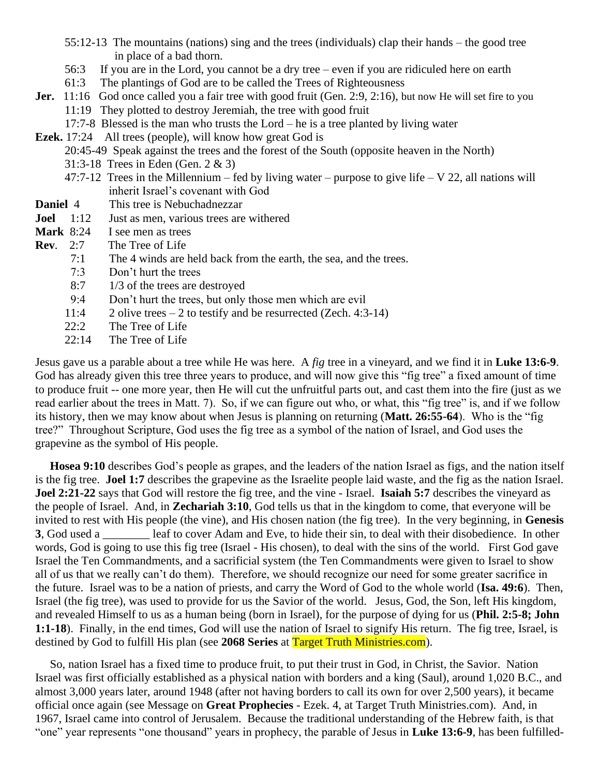- 55:12-13 The mountains (nations) sing and the trees (individuals) clap their hands the good tree in place of a bad thorn.
- 56:3 If you are in the Lord, you cannot be a dry tree even if you are ridiculed here on earth
- 61:3 The plantings of God are to be called the Trees of Righteousness
- **Jer.** 11:16 God once called you a fair tree with good fruit (Gen. 2:9, 2:16), but now He will set fire to you 11:19 They plotted to destroy Jeremiah, the tree with good fruit
	- 17:7-8 Blessed is the man who trusts the Lord he is a tree planted by living water
- **Ezek.** 17:24 All trees (people), will know how great God is
	- 20:45-49 Speak against the trees and the forest of the South (opposite heaven in the North)
	- 31:3-18 Trees in Eden (Gen. 2 & 3)
	- 47:7-12 Trees in the Millennium fed by living water purpose to give life V 22, all nations will inherit Israel's covenant with God
- **Daniel** 4 This tree is Nebuchadnezzar
- **Joel** 1:12 Just as men, various trees are withered
- **Mark** 8:24 I see men as trees
- **Rev**. 2:7 The Tree of Life
	- 7:1 The 4 winds are held back from the earth, the sea, and the trees.
	- 7:3 Don't hurt the trees
	- 8:7 1/3 of the trees are destroyed
	- 9:4 Don't hurt the trees, but only those men which are evil
	- 11:4 2 olive trees 2 to testify and be resurrected (Zech. 4:3-14)
	- 22:2 The Tree of Life
	- 22:14 The Tree of Life

Jesus gave us a parable about a tree while He was here. A *fig* tree in a vineyard, and we find it in **Luke 13:6-9**. God has already given this tree three years to produce, and will now give this "fig tree" a fixed amount of time to produce fruit -- one more year, then He will cut the unfruitful parts out, and cast them into the fire (just as we read earlier about the trees in Matt. 7). So, if we can figure out who, or what, this "fig tree" is, and if we follow its history, then we may know about when Jesus is planning on returning (**Matt. 26:55-64**). Who is the "fig tree?" Throughout Scripture, God uses the fig tree as a symbol of the nation of Israel, and God uses the grapevine as the symbol of His people.

 **Hosea 9:10** describes God's people as grapes, and the leaders of the nation Israel as figs, and the nation itself is the fig tree. **Joel 1:7** describes the grapevine as the Israelite people laid waste, and the fig as the nation Israel. **Joel 2:21-22** says that God will restore the fig tree, and the vine - Israel. **Isaiah 5:7** describes the vineyard as the people of Israel. And, in **Zechariah 3:10**, God tells us that in the kingdom to come, that everyone will be invited to rest with His people (the vine), and His chosen nation (the fig tree). In the very beginning, in **Genesis 3**, God used a \_\_\_\_\_\_\_\_ leaf to cover Adam and Eve, to hide their sin, to deal with their disobedience. In other words, God is going to use this fig tree (Israel - His chosen), to deal with the sins of the world. First God gave Israel the Ten Commandments, and a sacrificial system (the Ten Commandments were given to Israel to show all of us that we really can't do them). Therefore, we should recognize our need for some greater sacrifice in the future. Israel was to be a nation of priests, and carry the Word of God to the whole world (**Isa. 49:6**). Then, Israel (the fig tree), was used to provide for us the Savior of the world. Jesus, God, the Son, left His kingdom, and revealed Himself to us as a human being (born in Israel), for the purpose of dying for us (**Phil. 2:5-8; John 1:1-18**). Finally, in the end times, God will use the nation of Israel to signify His return. The fig tree, Israel, is destined by God to fulfill His plan (see **2068 Series** at Target Truth Ministries.com).

 So, nation Israel has a fixed time to produce fruit, to put their trust in God, in Christ, the Savior. Nation Israel was first officially established as a physical nation with borders and a king (Saul), around 1,020 B.C., and almost 3,000 years later, around 1948 (after not having borders to call its own for over 2,500 years), it became official once again (see Message on **Great Prophecies** - Ezek. 4, at Target Truth Ministries.com). And, in 1967, Israel came into control of Jerusalem. Because the traditional understanding of the Hebrew faith, is that "one" year represents "one thousand" years in prophecy, the parable of Jesus in **Luke 13:6-9**, has been fulfilled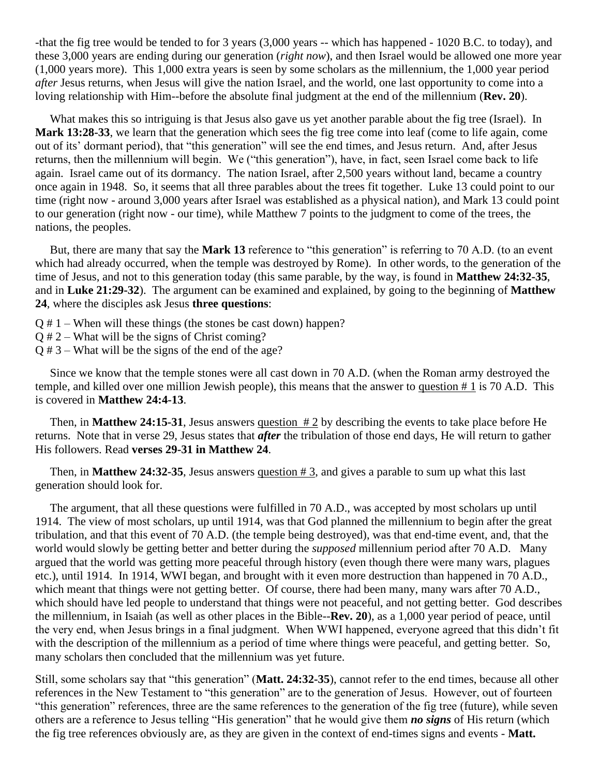-that the fig tree would be tended to for 3 years (3,000 years -- which has happened - 1020 B.C. to today), and these 3,000 years are ending during our generation (*right now*), and then Israel would be allowed one more year (1,000 years more). This 1,000 extra years is seen by some scholars as the millennium, the 1,000 year period *after* Jesus returns, when Jesus will give the nation Israel, and the world, one last opportunity to come into a loving relationship with Him--before the absolute final judgment at the end of the millennium (**Rev. 20**).

 What makes this so intriguing is that Jesus also gave us yet another parable about the fig tree (Israel). In **Mark 13:28-33**, we learn that the generation which sees the fig tree come into leaf (come to life again, come out of its' dormant period), that "this generation" will see the end times, and Jesus return. And, after Jesus returns, then the millennium will begin. We ("this generation"), have, in fact, seen Israel come back to life again. Israel came out of its dormancy. The nation Israel, after 2,500 years without land, became a country once again in 1948. So, it seems that all three parables about the trees fit together. Luke 13 could point to our time (right now - around 3,000 years after Israel was established as a physical nation), and Mark 13 could point to our generation (right now - our time), while Matthew 7 points to the judgment to come of the trees, the nations, the peoples.

 But, there are many that say the **Mark 13** reference to "this generation" is referring to 70 A.D. (to an event which had already occurred, when the temple was destroyed by Rome). In other words, to the generation of the time of Jesus, and not to this generation today (this same parable, by the way, is found in **Matthew 24:32-35**, and in **Luke 21:29-32**). The argument can be examined and explained, by going to the beginning of **Matthew 24**, where the disciples ask Jesus **three questions**:

- $Q \# 1$  When will these things (the stones be cast down) happen?
- Q # 2 What will be the signs of Christ coming?
- Q # 3 What will be the signs of the end of the age?

 Since we know that the temple stones were all cast down in 70 A.D. (when the Roman army destroyed the temple, and killed over one million Jewish people), this means that the answer to question  $# 1$  is 70 A.D. This is covered in **Matthew 24:4-13**.

 Then, in **Matthew 24:15-31**, Jesus answers question # 2 by describing the events to take place before He returns. Note that in verse 29, Jesus states that *after* the tribulation of those end days, He will return to gather His followers. Read **verses 29-31 in Matthew 24**.

 Then, in **Matthew 24:32-35**, Jesus answers question # 3, and gives a parable to sum up what this last generation should look for.

 The argument, that all these questions were fulfilled in 70 A.D., was accepted by most scholars up until 1914. The view of most scholars, up until 1914, was that God planned the millennium to begin after the great tribulation, and that this event of 70 A.D. (the temple being destroyed), was that end-time event, and, that the world would slowly be getting better and better during the *supposed* millennium period after 70 A.D. Many argued that the world was getting more peaceful through history (even though there were many wars, plagues etc.), until 1914. In 1914, WWI began, and brought with it even more destruction than happened in 70 A.D., which meant that things were not getting better. Of course, there had been many, many wars after 70 A.D., which should have led people to understand that things were not peaceful, and not getting better. God describes the millennium, in Isaiah (as well as other places in the Bible--**Rev. 20**), as a 1,000 year period of peace, until the very end, when Jesus brings in a final judgment. When WWI happened, everyone agreed that this didn't fit with the description of the millennium as a period of time where things were peaceful, and getting better. So, many scholars then concluded that the millennium was yet future.

Still, some scholars say that "this generation" (**Matt. 24:32-35**), cannot refer to the end times, because all other references in the New Testament to "this generation" are to the generation of Jesus. However, out of fourteen "this generation" references, three are the same references to the generation of the fig tree (future), while seven others are a reference to Jesus telling "His generation" that he would give them *no signs* of His return (which the fig tree references obviously are, as they are given in the context of end-times signs and events - **Matt.**